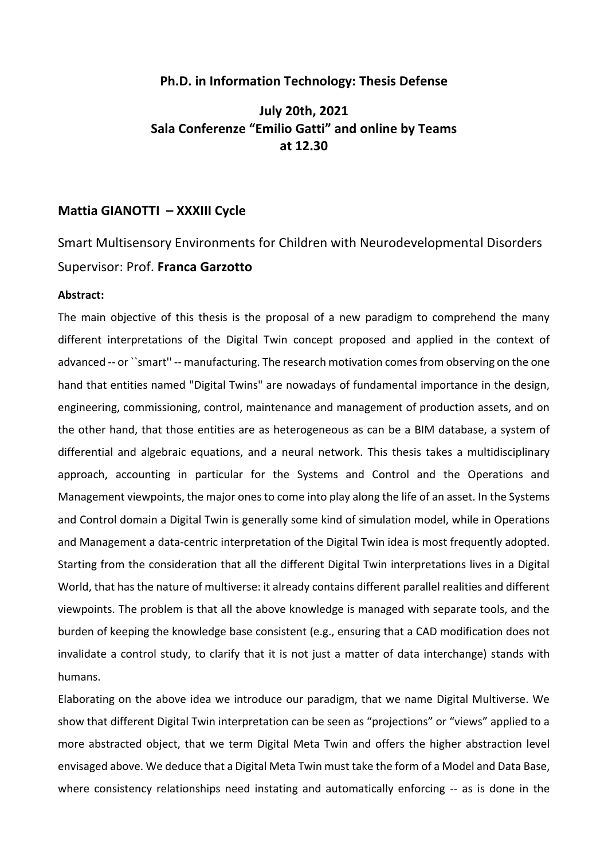#### **Ph.D. in Information Technology: Thesis Defense**

## **July 20th, 2021 Sala Conferenze "Emilio Gatti" and online by Teams at 12.30**

### **Mattia GIANOTTI – XXXIII Cycle**

# Smart Multisensory Environments for Children with Neurodevelopmental Disorders Supervisor: Prof. **Franca Garzotto**

#### **Abstract:**

The main objective of this thesis is the proposal of a new paradigm to comprehend the many different interpretations of the Digital Twin concept proposed and applied in the context of advanced -- or ``smart'' -- manufacturing. The research motivation comes from observing on the one hand that entities named "Digital Twins" are nowadays of fundamental importance in the design, engineering, commissioning, control, maintenance and management of production assets, and on the other hand, that those entities are as heterogeneous as can be a BIM database, a system of differential and algebraic equations, and a neural network. This thesis takes a multidisciplinary approach, accounting in particular for the Systems and Control and the Operations and Management viewpoints, the major ones to come into play along the life of an asset. In the Systems and Control domain a Digital Twin is generally some kind of simulation model, while in Operations and Management a data-centric interpretation of the Digital Twin idea is most frequently adopted. Starting from the consideration that all the different Digital Twin interpretations lives in a Digital World, that has the nature of multiverse: it already contains different parallel realities and different viewpoints. The problem is that all the above knowledge is managed with separate tools, and the burden of keeping the knowledge base consistent (e.g., ensuring that a CAD modification does not invalidate a control study, to clarify that it is not just a matter of data interchange) stands with humans.

Elaborating on the above idea we introduce our paradigm, that we name Digital Multiverse. We show that different Digital Twin interpretation can be seen as "projections" or "views" applied to a more abstracted object, that we term Digital Meta Twin and offers the higher abstraction level envisaged above. We deduce that a Digital Meta Twin must take the form of a Model and Data Base, where consistency relationships need instating and automatically enforcing -- as is done in the